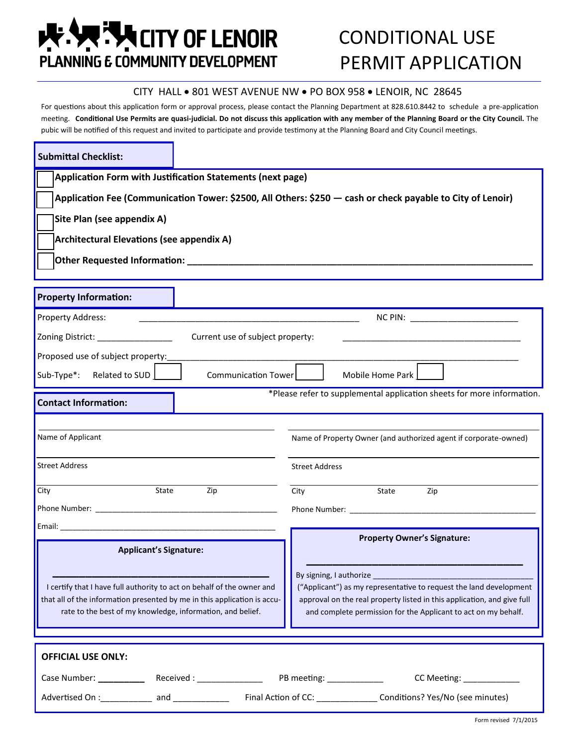# **E. AMELITY OF LENOIR** PLANNING E COMMUNITY DEVELOPMENT

## CONDITIONAL USE PERMIT APPLICATION

#### CITY HALL . 801 WEST AVENUE NW . PO BOX 958 . LENOIR, NC 28645

For questions about this application form or approval process, please contact the Planning Department at 828.610.8442 to schedule a pre-application meeting. **Conditional Use Permits are quasi-judicial. Do not discuss this application with any member of the Planning Board or the City Council.** The pubic will be notified of this request and invited to participate and provide testimony at the Planning Board and City Council meetings.

| <b>Submittal Checklist:</b>                                                                                                                                                                                                                                               |                                                                                                                                                                                                                               |
|---------------------------------------------------------------------------------------------------------------------------------------------------------------------------------------------------------------------------------------------------------------------------|-------------------------------------------------------------------------------------------------------------------------------------------------------------------------------------------------------------------------------|
| Application Form with Justification Statements (next page)                                                                                                                                                                                                                |                                                                                                                                                                                                                               |
| Application Fee (Communication Tower: \$2500, All Others: \$250 - cash or check payable to City of Lenoir)                                                                                                                                                                |                                                                                                                                                                                                                               |
| Site Plan (see appendix A)                                                                                                                                                                                                                                                |                                                                                                                                                                                                                               |
| <b>Architectural Elevations (see appendix A)</b>                                                                                                                                                                                                                          |                                                                                                                                                                                                                               |
| Other Requested Information: National Action of the Contract of the Contract of the Contract of the Contract of the Contract of the Contract of the Contract of the Contract of the Contract of the Contract of the Contract o                                            |                                                                                                                                                                                                                               |
|                                                                                                                                                                                                                                                                           |                                                                                                                                                                                                                               |
| <b>Property Information:</b>                                                                                                                                                                                                                                              |                                                                                                                                                                                                                               |
| <b>Property Address:</b>                                                                                                                                                                                                                                                  |                                                                                                                                                                                                                               |
| Zoning District: ________________<br>Current use of subject property:                                                                                                                                                                                                     |                                                                                                                                                                                                                               |
| Proposed use of subject property:                                                                                                                                                                                                                                         |                                                                                                                                                                                                                               |
| Sub-Type*: Related to SUD  <br>Communication Tower                                                                                                                                                                                                                        | Mobile Home Park                                                                                                                                                                                                              |
| *Please refer to supplemental application sheets for more information.<br><b>Contact Information:</b>                                                                                                                                                                     |                                                                                                                                                                                                                               |
|                                                                                                                                                                                                                                                                           |                                                                                                                                                                                                                               |
| Name of Applicant                                                                                                                                                                                                                                                         | Name of Property Owner (and authorized agent if corporate-owned)                                                                                                                                                              |
| <b>Street Address</b>                                                                                                                                                                                                                                                     | <b>Street Address</b>                                                                                                                                                                                                         |
| State<br>City<br>Zip                                                                                                                                                                                                                                                      | State<br>City<br>Zip                                                                                                                                                                                                          |
|                                                                                                                                                                                                                                                                           | Phone Number: The Contract of the Contract of the Contract of the Contract of the Contract of the Contract of the Contract of the Contract of the Contract of the Contract of the Contract of the Contract of the Contract of |
| <b>Email:</b> Email: All and the second contract of the second contract of the second contract of the second contract of the second contract of the second contract of the second contract of the second contract of the second con<br><b>Property Owner's Signature:</b> |                                                                                                                                                                                                                               |
| <b>Applicant's Signature:</b>                                                                                                                                                                                                                                             |                                                                                                                                                                                                                               |
|                                                                                                                                                                                                                                                                           |                                                                                                                                                                                                                               |
| I certify that I have full authority to act on behalf of the owner and                                                                                                                                                                                                    | ("Applicant") as my representative to request the land development                                                                                                                                                            |
| that all of the information presented by me in this application is accu-<br>rate to the best of my knowledge, information, and belief.                                                                                                                                    | approval on the real property listed in this application, and give full<br>and complete permission for the Applicant to act on my behalf.                                                                                     |
|                                                                                                                                                                                                                                                                           |                                                                                                                                                                                                                               |
| <b>OFFICIAL USE ONLY:</b>                                                                                                                                                                                                                                                 |                                                                                                                                                                                                                               |
|                                                                                                                                                                                                                                                                           |                                                                                                                                                                                                                               |
| CC Meeting: ____________                                                                                                                                                                                                                                                  |                                                                                                                                                                                                                               |
| Advertised On : ___________ and ________________ Final Action of CC: _______________ Conditions? Yes/No (see minutes)                                                                                                                                                     |                                                                                                                                                                                                                               |